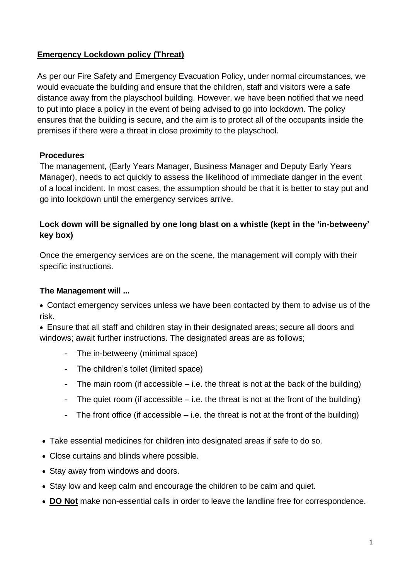## **Emergency Lockdown policy (Threat)**

As per our Fire Safety and Emergency Evacuation Policy, under normal circumstances, we would evacuate the building and ensure that the children, staff and visitors were a safe distance away from the playschool building. However, we have been notified that we need to put into place a policy in the event of being advised to go into lockdown. The policy ensures that the building is secure, and the aim is to protect all of the occupants inside the premises if there were a threat in close proximity to the playschool.

#### **Procedures**

The management, (Early Years Manager, Business Manager and Deputy Early Years Manager), needs to act quickly to assess the likelihood of immediate danger in the event of a local incident. In most cases, the assumption should be that it is better to stay put and go into lockdown until the emergency services arrive.

#### **Lock down will be signalled by one long blast on a whistle (kept in the 'in-betweeny' key box)**

Once the emergency services are on the scene, the management will comply with their specific instructions.

#### **The Management will ...**

• Contact emergency services unless we have been contacted by them to advise us of the risk.

• Ensure that all staff and children stay in their designated areas; secure all doors and windows; await further instructions. The designated areas are as follows;

- The in-betweeny (minimal space)
- The children's toilet (limited space)
- The main room (if accessible  $-$  i.e. the threat is not at the back of the building)
- The quiet room (if accessible  $-$  i.e. the threat is not at the front of the building)
- The front office (if accessible  $-$  i.e. the threat is not at the front of the building)
- Take essential medicines for children into designated areas if safe to do so.
- Close curtains and blinds where possible.
- Stay away from windows and doors.
- Stay low and keep calm and encourage the children to be calm and quiet.
- **DO Not** make non-essential calls in order to leave the landline free for correspondence.